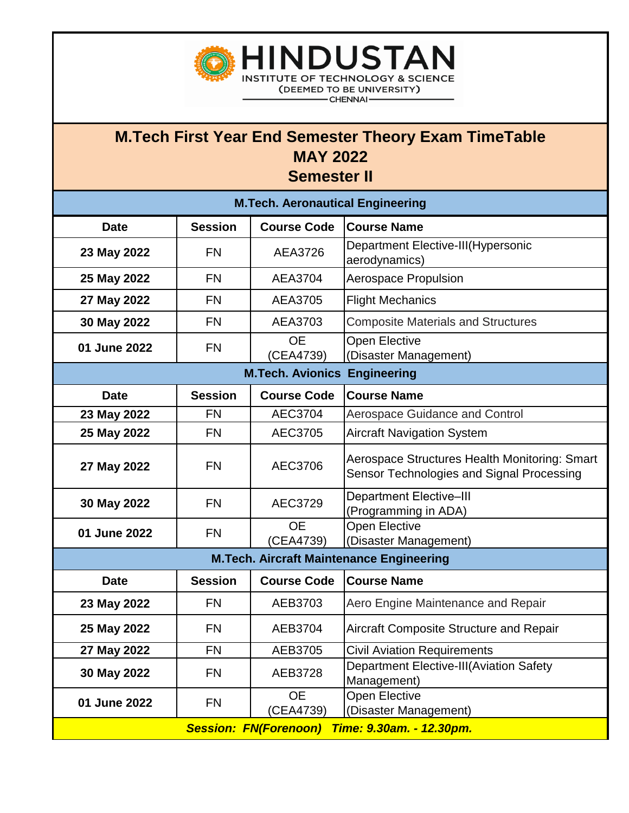

**INSTITUTE OF TECHNOLOGY & SCIENCE** (DEEMED TO BE UNIVERSITY)

**HINDUSTAN** 

- CHENNAI -

| <b>M.Tech. Aeronautical Engineering</b>                  |                |                        |                                                                                            |  |  |
|----------------------------------------------------------|----------------|------------------------|--------------------------------------------------------------------------------------------|--|--|
| <b>Date</b>                                              | <b>Session</b> | <b>Course Code</b>     | <b>Course Name</b>                                                                         |  |  |
| 23 May 2022                                              | <b>FN</b>      | AEA3726                | Department Elective-III(Hypersonic<br>aerodynamics)                                        |  |  |
| 25 May 2022                                              | <b>FN</b>      | AEA3704                | <b>Aerospace Propulsion</b>                                                                |  |  |
| 27 May 2022                                              | <b>FN</b>      | AEA3705                | <b>Flight Mechanics</b>                                                                    |  |  |
| 30 May 2022                                              | <b>FN</b>      | AEA3703                | <b>Composite Materials and Structures</b>                                                  |  |  |
| 01 June 2022                                             | <b>FN</b>      | <b>OE</b><br>(CEA4739) | Open Elective<br>(Disaster Management)                                                     |  |  |
| <b>M.Tech. Avionics Engineering</b>                      |                |                        |                                                                                            |  |  |
| <b>Date</b>                                              | <b>Session</b> | <b>Course Code</b>     | <b>Course Name</b>                                                                         |  |  |
| 23 May 2022                                              | <b>FN</b>      | <b>AEC3704</b>         | <b>Aerospace Guidance and Control</b>                                                      |  |  |
| 25 May 2022                                              | <b>FN</b>      | <b>AEC3705</b>         | <b>Aircraft Navigation System</b>                                                          |  |  |
| 27 May 2022                                              | <b>FN</b>      | AEC3706                | Aerospace Structures Health Monitoring: Smart<br>Sensor Technologies and Signal Processing |  |  |
| 30 May 2022                                              | <b>FN</b>      | AEC3729                | <b>Department Elective-III</b><br>(Programming in ADA)                                     |  |  |
| 01 June 2022                                             | <b>FN</b>      | <b>OE</b><br>(CEA4739) | <b>Open Elective</b><br>(Disaster Management)                                              |  |  |
| <b>M.Tech. Aircraft Maintenance Engineering</b>          |                |                        |                                                                                            |  |  |
| <b>Date</b>                                              | <b>Session</b> | <b>Course Code</b>     | <b>Course Name</b>                                                                         |  |  |
| 23 May 2022                                              | <b>FN</b>      | AEB3703                | Aero Engine Maintenance and Repair                                                         |  |  |
| 25 May 2022                                              | <b>FN</b>      | AEB3704                | Aircraft Composite Structure and Repair                                                    |  |  |
| 27 May 2022                                              | <b>FN</b>      | AEB3705                | <b>Civil Aviation Requirements</b>                                                         |  |  |
| 30 May 2022                                              | <b>FN</b>      | AEB3728                | <b>Department Elective-III(Aviation Safety</b><br>Management)                              |  |  |
| 01 June 2022                                             | <b>FN</b>      | <b>OE</b><br>(CEA4739) | Open Elective<br>(Disaster Management)                                                     |  |  |
| <b>Session: FN(Forenoon)</b><br>Time: 9.30am. - 12.30pm. |                |                        |                                                                                            |  |  |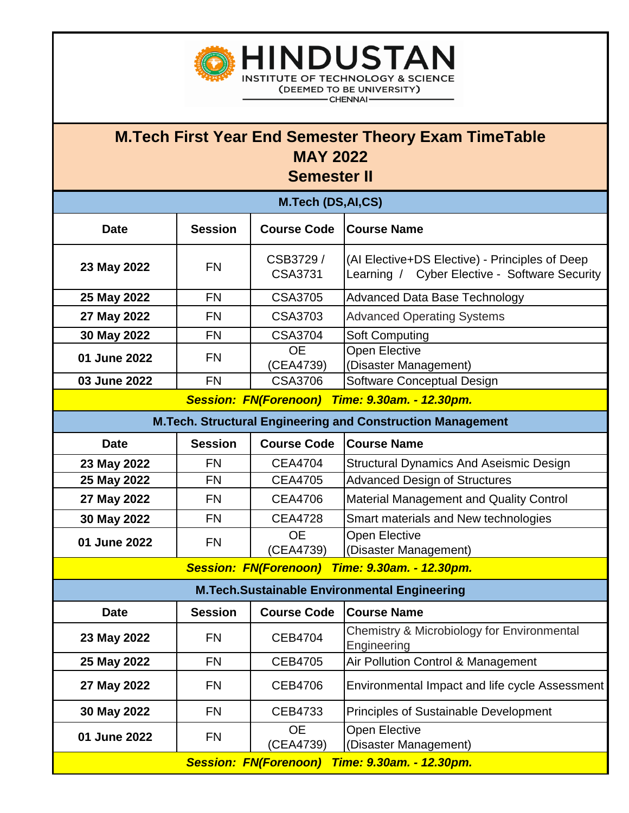

**HINDUSTAN INSTITUTE OF TECHNOLOGY & SCIENCE** (DEEMED TO BE UNIVERSITY)

- CHENNAI -

| <b>M.Tech (DS,AI,CS)</b>                                          |                |                            |                                                                                                 |  |
|-------------------------------------------------------------------|----------------|----------------------------|-------------------------------------------------------------------------------------------------|--|
| <b>Date</b>                                                       | <b>Session</b> | <b>Course Code</b>         | <b>Course Name</b>                                                                              |  |
| 23 May 2022                                                       | <b>FN</b>      | CSB3729/<br><b>CSA3731</b> | (Al Elective+DS Elective) - Principles of Deep<br>Learning / Cyber Elective - Software Security |  |
| 25 May 2022                                                       | <b>FN</b>      | <b>CSA3705</b>             | <b>Advanced Data Base Technology</b>                                                            |  |
| 27 May 2022                                                       | <b>FN</b>      | CSA3703                    | <b>Advanced Operating Systems</b>                                                               |  |
| 30 May 2022                                                       | <b>FN</b>      | <b>CSA3704</b>             | Soft Computing                                                                                  |  |
| 01 June 2022                                                      | <b>FN</b>      | <b>OE</b><br>(CEA4739)     | <b>Open Elective</b><br>(Disaster Management)                                                   |  |
| 03 June 2022                                                      | <b>FN</b>      | <b>CSA3706</b>             | Software Conceptual Design                                                                      |  |
| <b>Session: FN(Forenoon)</b><br>Time: 9.30am. - 12.30pm.          |                |                            |                                                                                                 |  |
| <b>M.Tech. Structural Engineering and Construction Management</b> |                |                            |                                                                                                 |  |
| <b>Date</b>                                                       | <b>Session</b> | <b>Course Code</b>         | <b>Course Name</b>                                                                              |  |
| 23 May 2022                                                       | <b>FN</b>      | <b>CEA4704</b>             | <b>Structural Dynamics And Aseismic Design</b>                                                  |  |
| 25 May 2022                                                       | <b>FN</b>      | <b>CEA4705</b>             | <b>Advanced Design of Structures</b>                                                            |  |
| 27 May 2022                                                       | <b>FN</b>      | <b>CEA4706</b>             | <b>Material Management and Quality Control</b>                                                  |  |
| 30 May 2022                                                       | <b>FN</b>      | <b>CEA4728</b>             | Smart materials and New technologies                                                            |  |
| 01 June 2022                                                      | <b>FN</b>      | <b>OE</b><br>(CEA4739)     | <b>Open Elective</b><br>(Disaster Management)                                                   |  |
| Time: 9.30am. - 12.30pm.<br><b>Session: FN(Forenoon)</b>          |                |                            |                                                                                                 |  |
| <b>M.Tech.Sustainable Environmental Engineering</b>               |                |                            |                                                                                                 |  |
| <b>Date</b>                                                       | <b>Session</b> | <b>Course Code</b>         | <b>Course Name</b>                                                                              |  |
| 23 May 2022                                                       | <b>FN</b>      | <b>CEB4704</b>             | Chemistry & Microbiology for Environmental<br>Engineering                                       |  |
| 25 May 2022                                                       | <b>FN</b>      | <b>CEB4705</b>             | Air Pollution Control & Management                                                              |  |
| 27 May 2022                                                       | <b>FN</b>      | <b>CEB4706</b>             | Environmental Impact and life cycle Assessment                                                  |  |
| 30 May 2022                                                       | <b>FN</b>      | CEB4733                    | <b>Principles of Sustainable Development</b>                                                    |  |
| 01 June 2022                                                      | <b>FN</b>      | <b>OE</b><br>(CEA4739)     | <b>Open Elective</b><br>(Disaster Management)                                                   |  |
| <b>Session: FN(Forenoon)</b><br>Time: 9.30am. - 12.30pm.          |                |                            |                                                                                                 |  |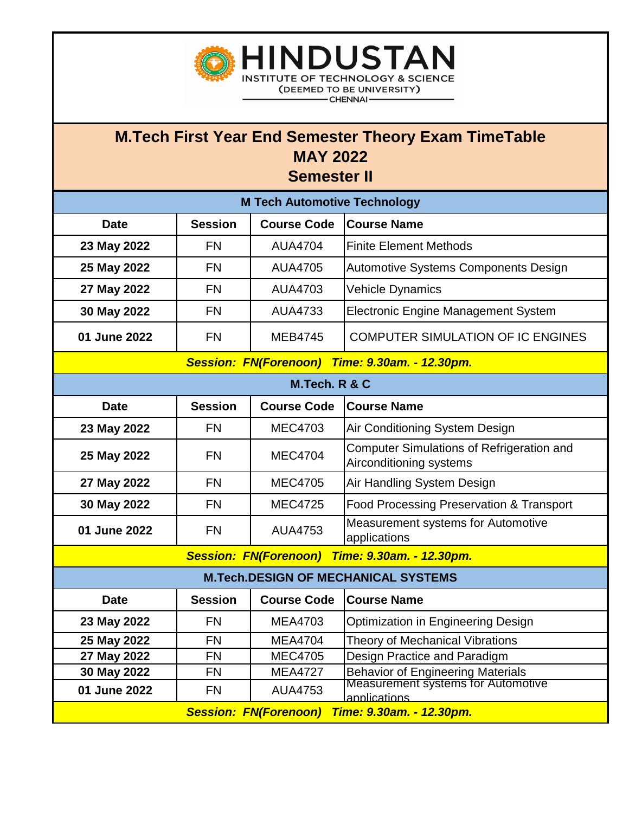

**INSTITUTE OF TECHNOLOGY & SCIENCE** (DEEMED TO BE UNIVERSITY) - CHENNAI -

| <b>M Tech Automotive Technology</b>                      |                |                    |                                                                             |  |  |
|----------------------------------------------------------|----------------|--------------------|-----------------------------------------------------------------------------|--|--|
| <b>Date</b>                                              | <b>Session</b> | <b>Course Code</b> | <b>Course Name</b>                                                          |  |  |
| 23 May 2022                                              | <b>FN</b>      | <b>AUA4704</b>     | <b>Finite Element Methods</b>                                               |  |  |
| 25 May 2022                                              | <b>FN</b>      | <b>AUA4705</b>     | Automotive Systems Components Design                                        |  |  |
| 27 May 2022                                              | <b>FN</b>      | AUA4703            | <b>Vehicle Dynamics</b>                                                     |  |  |
| 30 May 2022                                              | <b>FN</b>      | <b>AUA4733</b>     | <b>Electronic Engine Management System</b>                                  |  |  |
| 01 June 2022                                             | <b>FN</b>      | <b>MEB4745</b>     | <b>COMPUTER SIMULATION OF IC ENGINES</b>                                    |  |  |
| <b>Session: FN(Forenoon)</b><br>Time: 9.30am. - 12.30pm. |                |                    |                                                                             |  |  |
| M.Tech. R & C                                            |                |                    |                                                                             |  |  |
| <b>Date</b>                                              | <b>Session</b> | <b>Course Code</b> | <b>Course Name</b>                                                          |  |  |
| 23 May 2022                                              | <b>FN</b>      | <b>MEC4703</b>     | Air Conditioning System Design                                              |  |  |
| 25 May 2022                                              | <b>FN</b>      | <b>MEC4704</b>     | <b>Computer Simulations of Refrigeration and</b><br>Airconditioning systems |  |  |
| 27 May 2022                                              | <b>FN</b>      | <b>MEC4705</b>     | Air Handling System Design                                                  |  |  |
| 30 May 2022                                              | <b>FN</b>      | <b>MEC4725</b>     | Food Processing Preservation & Transport                                    |  |  |
| 01 June 2022                                             | <b>FN</b>      | <b>AUA4753</b>     | Measurement systems for Automotive<br>applications                          |  |  |
| <b>Session: FN(Forenoon)</b><br>Time: 9.30am. - 12.30pm. |                |                    |                                                                             |  |  |
| <b>M.Tech.DESIGN OF MECHANICAL SYSTEMS</b>               |                |                    |                                                                             |  |  |
| <b>Date</b>                                              | <b>Session</b> | <b>Course Code</b> | <b>Course Name</b>                                                          |  |  |
| 23 May 2022                                              | <b>FN</b>      | <b>MEA4703</b>     | <b>Optimization in Engineering Design</b>                                   |  |  |
| 25 May 2022                                              | <b>FN</b>      | <b>MEA4704</b>     | Theory of Mechanical Vibrations                                             |  |  |
| 27 May 2022                                              | <b>FN</b>      | <b>MEC4705</b>     | Design Practice and Paradigm                                                |  |  |
| 30 May 2022                                              | <b>FN</b>      | <b>MEA4727</b>     | Behavior of Engineering Materials<br>Measurement systems for Automotive     |  |  |
| 01 June 2022                                             | <b>FN</b>      | <b>AUA4753</b>     | applications                                                                |  |  |
| <b>Session: FN(Forenoon)</b><br>Time: 9.30am. - 12.30pm. |                |                    |                                                                             |  |  |